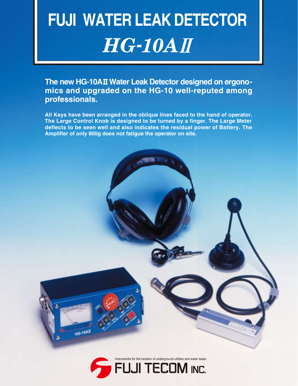# $HG$  -  $10$   $AI$ **FUJI WATER LEAK DETECTOR**

The new HG-10AII Water Leak Detector designed on ergono**mics and upgraded on the HG-10 well-reputed among professionals.**

**All Keys have been arranged in the oblique lines faced to the hand of operator. The Large Control Knob is designed to be turned by a finger. The Large Meter deflects to be seen well and also indicates the residual power of Battery. The Amplifier of only 800g does not fatigue the operator on site.**